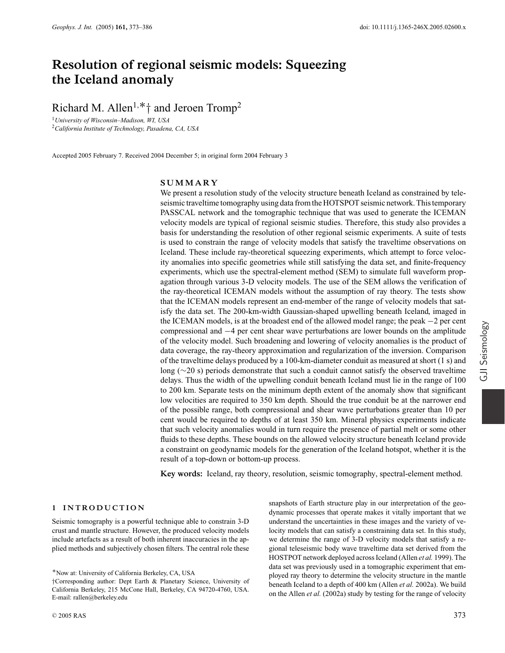# **Resolution of regional seismic models: Squeezing the Iceland anomaly**

Richard M. Allen<sup>1,\*</sup>† and Jeroen Tromp<sup>2</sup>

<sup>1</sup>*University of Wisconsin–Madison, WI, USA* <sup>2</sup>*California Institute of Technology, Pasadena, CA, USA*

Accepted 2005 February 7. Received 2004 December 5; in original form 2004 February 3

# **SUMMARY**

We present a resolution study of the velocity structure beneath Iceland as constrained by teleseismic traveltime tomography using data from the HOTSPOT seismic network. This temporary PASSCAL network and the tomographic technique that was used to generate the ICEMAN velocity models are typical of regional seismic studies. Therefore, this study also provides a basis for understanding the resolution of other regional seismic experiments. A suite of tests is used to constrain the range of velocity models that satisfy the traveltime observations on Iceland. These include ray-theoretical squeezing experiments, which attempt to force velocity anomalies into specific geometries while still satisfying the data set, and finite-frequency experiments, which use the spectral-element method (SEM) to simulate full waveform propagation through various 3-D velocity models. The use of the SEM allows the verification of the ray-theoretical ICEMAN models without the assumption of ray theory. The tests show that the ICEMAN models represent an end-member of the range of velocity models that satisfy the data set. The 200-km-width Gaussian-shaped upwelling beneath Iceland, imaged in the ICEMAN models, is at the broadest end of the allowed model range; the peak −2 per cent compressional and −4 per cent shear wave perturbations are lower bounds on the amplitude of the velocity model. Such broadening and lowering of velocity anomalies is the product of data coverage, the ray-theory approximation and regularization of the inversion. Comparison of the traveltime delays produced by a 100-km-diameter conduit as measured at short (1 s) and long (∼20 s) periods demonstrate that such a conduit cannot satisfy the observed traveltime delays. Thus the width of the upwelling conduit beneath Iceland must lie in the range of 100 to 200 km. Separate tests on the minimum depth extent of the anomaly show that significant low velocities are required to 350 km depth. Should the true conduit be at the narrower end of the possible range, both compressional and shear wave perturbations greater than 10 per cent would be required to depths of at least 350 km. Mineral physics experiments indicate that such velocity anomalies would in turn require the presence of partial melt or some other fluids to these depths. These bounds on the allowed velocity structure beneath Iceland provide a constraint on geodynamic models for the generation of the Iceland hotspot, whether it is the result of a top-down or bottom-up process.

**Key words:** Iceland, ray theory, resolution, seismic tomography, spectral-element method.

# **1 INTRO DUCTION**

Seismic tomography is a powerful technique able to constrain 3-D crust and mantle structure. However, the produced velocity models include artefacts as a result of both inherent inaccuracies in the applied methods and subjectively chosen filters. The central role these snapshots of Earth structure play in our interpretation of the geodynamic processes that operate makes it vitally important that we understand the uncertainties in these images and the variety of velocity models that can satisfy a constraining data set. In this study, we determine the range of 3-D velocity models that satisfy a regional teleseismic body wave traveltime data set derived from the HOSTPOT network deployed across Iceland (Allen *et al.* 1999). The data set was previously used in a tomographic experiment that employed ray theory to determine the velocity structure in the mantle beneath Iceland to a depth of 400 km (Allen *et al.* 2002a). We build on the Allen *et al.* (2002a) study by testing for the range of velocity

<sup>∗</sup>Now at: University of California Berkeley, CA, USA

<sup>†</sup>Corresponding author: Dept Earth & Planetary Science, University of California Berkeley, 215 McCone Hall, Berkeley, CA 94720-4760, USA. E-mail: rallen@berkeley.edu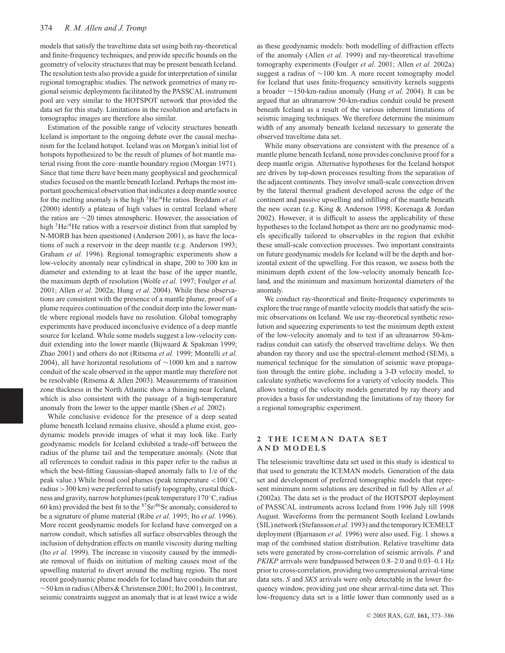models that satisfy the traveltime data set using both ray-theoretical and finite-frequency techniques, and provide specific bounds on the geometry of velocity structures that may be present beneath Iceland. The resolution tests also provide a guide for interpretation of similar regional tomographic studies. The network geometries of many regional seismic deployments facilitated by the PASSCAL instrument pool are very similar to the HOTSPOT network that provided the data set for this study. Limitations in the resolution and artefacts in tomographic images are therefore also similar.

Estimation of the possible range of velocity structures beneath Iceland is important to the ongoing debate over the causal mechanism for the Iceland hotspot. Iceland was on Morgan's initial list of hotspots hypothesized to be the result of plumes of hot mantle material rising from the core–mantle boundary region (Morgan 1971). Since that time there have been many geophysical and geochemical studies focused on the mantle beneath Iceland. Perhaps the most important geochemical observation that indicates a deep mantle source for the melting anomaly is the high 3He/4He ratios. Breddam *et al.* (2000) identify a plateau of high values in central Iceland where the ratios are ∼20 times atmospheric. However, the association of high <sup>3</sup>He/<sup>4</sup>He ratios with a reservoir distinct from that sampled by N-MORB has been questioned (Anderson 2001), as have the locations of such a reservoir in the deep mantle (e.g. Anderson 1993; Graham *et al.* 1996). Regional tomographic experiments show a low-velocity anomaly near cylindrical in shape, 200 to 300 km in diameter and extending to at least the base of the upper mantle, the maximum depth of resolution (Wolfe *et al.* 1997; Foulger *et al.* 2001; Allen *et al.* 2002a; Hung *et al.* 2004). While these observations are consistent with the presence of a mantle plume, proof of a plume requires continuation of the conduit deep into the lower mantle where regional models have no resolution. Global tomography experiments have produced inconclusive evidence of a deep mantle source for Iceland. While some models suggest a low-velocity conduit extending into the lower mantle (Bijwaard & Spakman 1999; Zhao 2001) and others do not (Ritsema *et al.* 1999; Montelli *et al.* 2004), all have horizontal resolutions of ∼1000 km and a narrow conduit of the scale observed in the upper mantle may therefore not be resolvable (Ritsema & Allen 2003). Measurements of transition zone thickness in the North Atlantic show a thinning near Iceland, which is also consistent with the passage of a high-temperature anomaly from the lower to the upper mantle (Shen *et al.* 2002).

While conclusive evidence for the presence of a deep seated plume beneath Iceland remains elusive, should a plume exist, geodynamic models provide images of what it may look like. Early geodynamic models for Iceland exhibited a trade-off between the radius of the plume tail and the temperature anomaly. (Note that all references to conduit radius in this paper refer to the radius at which the best-fitting Gaussian-shaped anomaly falls to 1/e of the peak value.) While broad cool plumes (peak temperature <100◦C, radius >300 km) were preferred to satisfy topography, crustal thickness and gravity, narrow hot plumes (peak temperature 170◦C, radius 60 km) provided the best fit to the  $87\text{Sr}/86\text{Sr}$  anomaly, considered to be a signature of plume material (Ribe *et al.* 1995; Ito *et al.* 1996). More recent geodynamic models for Iceland have converged on a narrow conduit, which satisfies all surface observables through the inclusion of dehydration effects on mantle viscosity during melting (Ito *et al.* 1999). The increase in viscosity caused by the immediate removal of fluids on initiation of melting causes most of the upwelling material to divert around the melting region. The most recent geodynamic plume models for Iceland have conduits that are ∼50 km in radius (Albers & Christensen 2001; Ito 2001). In contrast, seismic constraints suggest an anomaly that is at least twice a wide as these geodynamic models: both modelling of diffraction effects of the anomaly (Allen *et al.* 1999) and ray-theoretical traveltime tomography experiments (Foulger *et al.* 2001; Allen *et al.* 2002a) suggest a radius of ∼100 km. A more recent tomography model for Iceland that uses finite-frequency sensitivity kernels suggests a broader ∼150-km-radius anomaly (Hung *et al.* 2004). It can be argued that an ultranarrow 50-km-radius conduit could be present beneath Iceland as a result of the various inherent limitations of seismic imaging techniques. We therefore determine the minimum width of any anomaly beneath Iceland necessary to generate the observed traveltime data set.

While many observations are consistent with the presence of a mantle plume beneath Iceland, none provides conclusive proof for a deep mantle origin. Alternative hypotheses for the Iceland hotspot are driven by top-down processes resulting from the separation of the adjacent continents. They involve small-scale convection driven by the lateral thermal gradient developed across the edge of the continent and passive upwelling and infilling of the mantle beneath the new ocean (e.g. King & Anderson 1998; Korenaga & Jordan 2002). However, it is difficult to assess the applicability of these hypotheses to the Iceland hotspot as there are no geodynamic models specifically tailored to observables in the region that exhibit these small-scale convection processes. Two important constraints on future geodynamic models for Iceland will be the depth and horizontal extent of the upwelling. For this reason, we assess both the minimum depth extent of the low-velocity anomaly beneath Iceland, and the minimum and maximum horizontal diameters of the anomaly.

We conduct ray-theoretical and finite-frequency experiments to explore the true range of mantle velocity models that satisfy the seismic observations on Iceland. We use ray-theoretical synthetic resolution and squeezing experiments to test the minimum depth extent of the low-velocity anomaly and to test if an ultranarrow 50-kmradius conduit can satisfy the observed traveltime delays. We then abandon ray theory and use the spectral-element method (SEM), a numerical technique for the simulation of seismic wave propagation through the entire globe, including a 3-D velocity model, to calculate synthetic waveforms for a variety of velocity models. This allows testing of the velocity models generated by ray theory and provides a basis for understanding the limitations of ray theory for a regional tomographic experiment.

# 2 THE ICEMAN DATA SET **AND MODELS**

The teleseismic traveltime data set used in this study is identical to that used to generate the ICEMAN models. Generation of the data set and development of preferred tomographic models that represent minimum norm solutions are described in full by Allen *et al.* (2002a). The data set is the product of the HOTSPOT deployment of PASSCAL instruments across Iceland from 1996 July till 1998 August. Waveforms from the permanent South Iceland Lowlands (SIL) network (Stefansson *et al.* 1993) and the temporary ICEMELT deployment (Bjarnason *et al.* 1996) were also used. Fig. 1 shows a map of the combined station distribution. Relative traveltime data sets were generated by cross-correlation of seismic arrivals. *P* and *PKIKP* arrivals were bandpassed between 0.8–2.0 and 0.03–0.1 Hz prior to cross-correlation, providing two compressional arrival-time data sets. *S* and *SKS* arrivals were only detectable in the lower frequency window, providing just one shear arrival-time data set. This low-frequency data set is a little lower than commonly used as a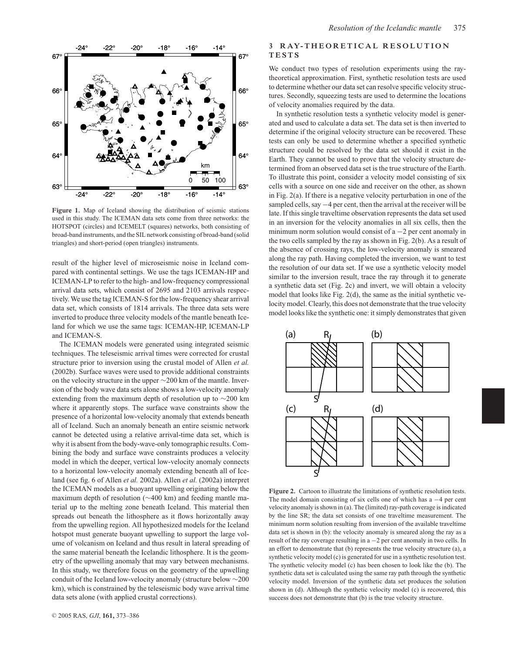

**Figure 1.** Map of Iceland showing the distribution of seismic stations used in this study. The ICEMAN data sets come from three networks: the HOTSPOT (circles) and ICEMELT (squares) networks, both consisting of broad-band instruments, and the SIL network consisting of broad-band (solid triangles) and short-period (open triangles) instruments.

result of the higher level of microseismic noise in Iceland compared with continental settings. We use the tags ICEMAN-HP and ICEMAN-LP to refer to the high- and low-frequency compressional arrival data sets, which consist of 2695 and 2103 arrivals respectively. We use the tag ICEMAN-S for the low-frequency shear arrival data set, which consists of 1814 arrivals. The three data sets were inverted to produce three velocity models of the mantle beneath Iceland for which we use the same tags: ICEMAN-HP, ICEMAN-LP and ICEMAN-S.

The ICEMAN models were generated using integrated seismic techniques. The teleseismic arrival times were corrected for crustal structure prior to inversion using the crustal model of Allen *et al.* (2002b). Surface waves were used to provide additional constraints on the velocity structure in the upper ∼200 km of the mantle. Inversion of the body wave data sets alone shows a low-velocity anomaly extending from the maximum depth of resolution up to ∼200 km where it apparently stops. The surface wave constraints show the presence of a horizontal low-velocity anomaly that extends beneath all of Iceland. Such an anomaly beneath an entire seismic network cannot be detected using a relative arrival-time data set, which is why it is absent from the body-wave-only tomographic results. Combining the body and surface wave constraints produces a velocity model in which the deeper, vertical low-velocity anomaly connects to a horizontal low-velocity anomaly extending beneath all of Iceland (see fig. 6 of Allen *et al.* 2002a). Allen *et al.* (2002a) interpret the ICEMAN models as a buoyant upwelling originating below the maximum depth of resolution (∼400 km) and feeding mantle material up to the melting zone beneath Iceland. This material then spreads out beneath the lithosphere as it flows horizontally away from the upwelling region. All hypothesized models for the Iceland hotspot must generate buoyant upwelling to support the large volume of volcanism on Iceland and thus result in lateral spreading of the same material beneath the Icelandic lithosphere. It is the geometry of the upwelling anomaly that may vary between mechanisms. In this study, we therefore focus on the geometry of the upwelling conduit of the Iceland low-velocity anomaly (structure below ∼200 km), which is constrained by the teleseismic body wave arrival time data sets alone (with applied crustal corrections).

# **3 RAY-T HEORETICAL RESOLUTION TESTS**

We conduct two types of resolution experiments using the raytheoretical approximation. First, synthetic resolution tests are used to determine whether our data set can resolve specific velocity structures. Secondly, squeezing tests are used to determine the locations of velocity anomalies required by the data.

In synthetic resolution tests a synthetic velocity model is generated and used to calculate a data set. The data set is then inverted to determine if the original velocity structure can be recovered. These tests can only be used to determine whether a specified synthetic structure could be resolved by the data set should it exist in the Earth. They cannot be used to prove that the velocity structure determined from an observed data set is the true structure of the Earth. To illustrate this point, consider a velocity model consisting of six cells with a source on one side and receiver on the other, as shown in Fig. 2(a). If there is a negative velocity perturbation in one of the sampled cells, say  $-4$  per cent, then the arrival at the receiver will be late. If this single traveltime observation represents the data set used in an inversion for the velocity anomalies in all six cells, then the minimum norm solution would consist of a −2 per cent anomaly in the two cells sampled by the ray as shown in Fig. 2(b). As a result of the absence of crossing rays, the low-velocity anomaly is smeared along the ray path. Having completed the inversion, we want to test the resolution of our data set. If we use a synthetic velocity model similar to the inversion result, trace the ray through it to generate a synthetic data set (Fig. 2c) and invert, we will obtain a velocity model that looks like Fig. 2(d), the same as the initial synthetic velocity model. Clearly, this does not demonstrate that the true velocity model looks like the synthetic one: it simply demonstrates that given



Figure 2. Cartoon to illustrate the limitations of synthetic resolution tests. The model domain consisting of six cells one of which has a −4 per cent velocity anomaly is shown in (a). The (limited) ray-path coverage is indicated by the line SR; the data set consists of one traveltime measurement. The minimum norm solution resulting from inversion of the available traveltime data set is shown in (b): the velocity anomaly is smeared along the ray as a result of the ray coverage resulting in a −2 per cent anomaly in two cells. In an effort to demonstrate that (b) represents the true velocity structure (a), a synthetic velocity model (c) is generated for use in a synthetic resolution test. The synthetic velocity model (c) has been chosen to look like the (b). The synthetic data set is calculated using the same ray path through the synthetic velocity model. Inversion of the synthetic data set produces the solution shown in (d). Although the synthetic velocity model (c) is recovered, this success does not demonstrate that (b) is the true velocity structure.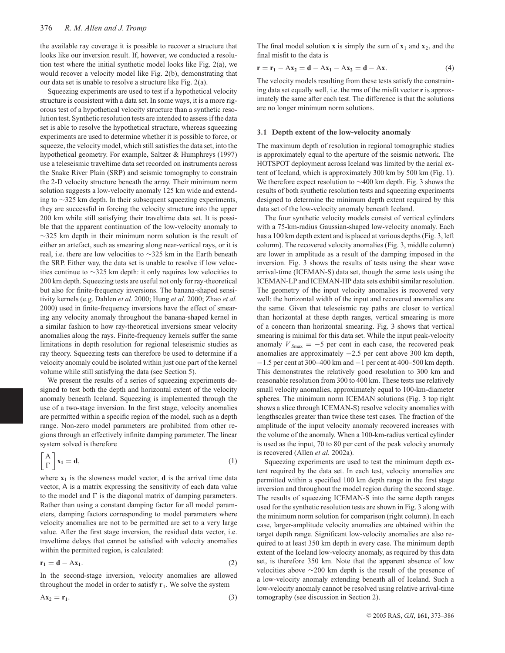the available ray coverage it is possible to recover a structure that looks like our inversion result. If, however, we conducted a resolution test where the initial synthetic model looks like Fig. 2(a), we would recover a velocity model like Fig. 2(b), demonstrating that our data set is unable to resolve a structure like Fig. 2(a).

Squeezing experiments are used to test if a hypothetical velocity structure is consistent with a data set. In some ways, it is a more rigorous test of a hypothetical velocity structure than a synthetic resolution test. Synthetic resolution tests are intended to assess if the data set is able to resolve the hypothetical structure, whereas squeezing experiments are used to determine whether it is possible to force, or squeeze, the velocity model, which still satisfies the data set, into the hypothetical geometry. For example, Saltzer & Humphreys (1997) use a teleseismic traveltime data set recorded on instruments across the Snake River Plain (SRP) and seismic tomography to constrain the 2-D velocity structure beneath the array. Their minimum norm solution suggests a low-velocity anomaly 125 km wide and extending to ∼325 km depth. In their subsequent squeezing experiments, they are successful in forcing the velocity structure into the upper 200 km while still satisfying their traveltime data set. It is possible that the apparent continuation of the low-velocity anomaly to  $\sim$ 325 km depth in their minimum norm solution is the result of either an artefact, such as smearing along near-vertical rays, or it is real, i.e. there are low velocities to ∼325 km in the Earth beneath the SRP. Either way, the data set is unable to resolve if low velocities continue to ∼325 km depth: it only requires low velocities to 200 km depth. Squeezing tests are useful not only for ray-theoretical but also for finite-frequency inversions. The banana-shaped sensitivity kernels (e.g. Dahlen *et al.* 2000; Hung *et al.* 2000; Zhao *et al.* 2000) used in finite-frequency inversions have the effect of smearing any velocity anomaly throughout the banana-shaped kernel in a similar fashion to how ray-theoretical inversions smear velocity anomalies along the rays. Finite-frequency kernels suffer the same limitations in depth resolution for regional teleseismic studies as ray theory. Squeezing tests can therefore be used to determine if a velocity anomaly could be isolated within just one part of the kernel volume while still satisfying the data (see Section 5).

We present the results of a series of squeezing experiments designed to test both the depth and horizontal extent of the velocity anomaly beneath Iceland. Squeezing is implemented through the use of a two-stage inversion. In the first stage, velocity anomalies are permitted within a specific region of the model, such as a depth range. Non-zero model parameters are prohibited from other regions through an effectively infinite damping parameter. The linear system solved is therefore

$$
\begin{bmatrix} A \\ \Gamma \end{bmatrix} \mathbf{x}_1 = \mathbf{d},\tag{1}
$$

where  $\mathbf{x}_1$  is the slowness model vector, **d** is the arrival time data vector, A is a matrix expressing the sensitivity of each data value to the model and  $\Gamma$  is the diagonal matrix of damping parameters. Rather than using a constant damping factor for all model parameters, damping factors corresponding to model parameters where velocity anomalies are not to be permitted are set to a very large value. After the first stage inversion, the residual data vector, i.e. traveltime delays that cannot be satisfied with velocity anomalies within the permitted region, is calculated:

$$
\mathbf{r}_1 = \mathbf{d} - A\mathbf{x}_1. \tag{2}
$$

In the second-stage inversion, velocity anomalies are allowed throughout the model in order to satisfy  $\mathbf{r}_1$ . We solve the system

$$
Ax_2 = r_1. \t\t(3)
$$

The final model solution **x** is simply the sum of  $\mathbf{x}_1$  and  $\mathbf{x}_2$ , and the final misfit to the data is

$$
r = r_1 - Ax_2 = d - Ax_1 - Ax_2 = d - Ax.
$$
 (4)

The velocity models resulting from these tests satisfy the constraining data set equally well, i.e. the rms of the misfit vector **r** is approximately the same after each test. The difference is that the solutions are no longer minimum norm solutions.

#### **3.1 Depth extent of the low-velocity anomaly**

The maximum depth of resolution in regional tomographic studies is approximately equal to the aperture of the seismic network. The HOTSPOT deployment across Iceland was limited by the aerial extent of Iceland, which is approximately 300 km by 500 km (Fig. 1). We therefore expect resolution to ∼400 km depth. Fig. 3 shows the results of both synthetic resolution tests and squeezing experiments designed to determine the minimum depth extent required by this data set of the low-velocity anomaly beneath Iceland.

The four synthetic velocity models consist of vertical cylinders with a 75-km-radius Gaussian-shaped low-velocity anomaly. Each has a 100 km depth extent and is placed at various depths (Fig. 3, left column). The recovered velocity anomalies (Fig. 3, middle column) are lower in amplitude as a result of the damping imposed in the inversion. Fig. 3 shows the results of tests using the shear wave arrival-time (ICEMAN-S) data set, though the same tests using the ICEMAN-LP and ICEMAN-HP data sets exhibit similar resolution. The geometry of the input velocity anomalies is recovered very well: the horizontal width of the input and recovered anomalies are the same. Given that teleseismic ray paths are closer to vertical than horizontal at these depth ranges, vertical smearing is more of a concern than horizontal smearing. Fig. 3 shows that vertical smearing is minimal for this data set. While the input peak-velocity anomaly  $V_{\text{Smax}} = -5$  per cent in each case, the recovered peak anomalies are approximately −2.5 per cent above 300 km depth, −1.5 per cent at 300–400 km and −1 per cent at 400–500 km depth. This demonstrates the relatively good resolution to 300 km and reasonable resolution from 300 to 400 km. These tests use relatively small velocity anomalies, approximately equal to 100-km-diameter spheres. The minimum norm ICEMAN solutions (Fig. 3 top right shows a slice through ICEMAN-S) resolve velocity anomalies with lengthscales greater than twice these test cases. The fraction of the amplitude of the input velocity anomaly recovered increases with the volume of the anomaly. When a 100-km-radius vertical cylinder is used as the input, 70 to 80 per cent of the peak velocity anomaly is recovered (Allen *et al.* 2002a).

Squeezing experiments are used to test the minimum depth extent required by the data set. In each test, velocity anomalies are permitted within a specified 100 km depth range in the first stage inversion and throughout the model region during the second stage. The results of squeezing ICEMAN-S into the same depth ranges used for the synthetic resolution tests are shown in Fig. 3 along with the minimum norm solution for comparison (right column). In each case, larger-amplitude velocity anomalies are obtained within the target depth range. Significant low-velocity anomalies are also required to at least 350 km depth in every case. The minimum depth extent of the Iceland low-velocity anomaly, as required by this data set, is therefore 350 km. Note that the apparent absence of low velocities above ∼200 km depth is the result of the presence of a low-velocity anomaly extending beneath all of Iceland. Such a low-velocity anomaly cannot be resolved using relative arrival-time tomography (see discussion in Section 2).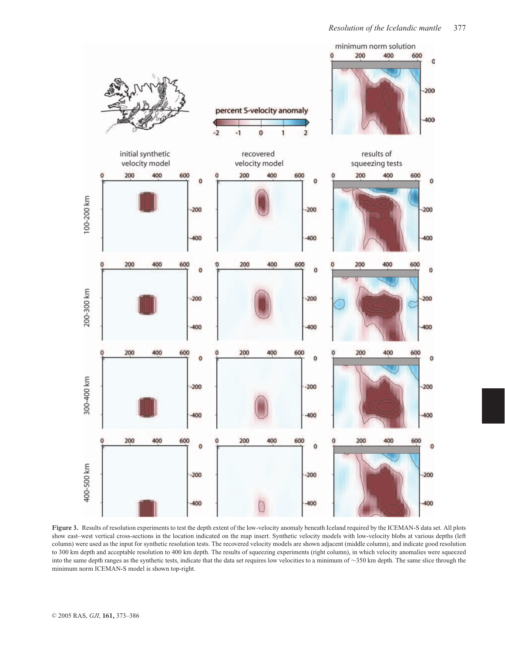

**Figure 3.** Results of resolution experiments to test the depth extent of the low-velocity anomaly beneath Iceland required by the ICEMAN-S data set. All plots show east–west vertical cross-sections in the location indicated on the map insert. Synthetic velocity models with low-velocity blobs at various depths (left column) were used as the input for synthetic resolution tests. The recovered velocity models are shown adjacent (middle column), and indicate good resolution to 300 km depth and acceptable resolution to 400 km depth. The results of squeezing experiments (right column), in which velocity anomalies were squeezed into the same depth ranges as the synthetic tests, indicate that the data set requires low velocities to a minimum of ∼350 km depth. The same slice through the minimum norm ICEMAN-S model is shown top-right.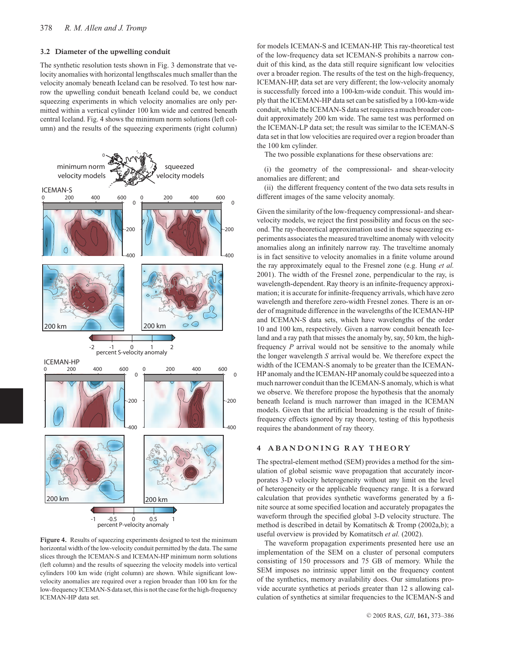#### **3.2 Diameter of the upwelling conduit**

The synthetic resolution tests shown in Fig. 3 demonstrate that velocity anomalies with horizontal lengthscales much smaller than the velocity anomaly beneath Iceland can be resolved. To test how narrow the upwelling conduit beneath Iceland could be, we conduct squeezing experiments in which velocity anomalies are only permitted within a vertical cylinder 100 km wide and centred beneath central Iceland. Fig. 4 shows the minimum norm solutions (left column) and the results of the squeezing experiments (right column)



Figure 4. Results of squeezing experiments designed to test the minimum horizontal width of the low-velocity conduit permitted by the data. The same slices through the ICEMAN-S and ICEMAN-HP minimum norm solutions (left column) and the results of squeezing the velocity models into vertical cylinders 100 km wide (right column) are shown. While significant lowvelocity anomalies are required over a region broader than 100 km for the low-frequency ICEMAN-S data set, this is not the case for the high-frequency ICEMAN-HP data set.

for models ICEMAN-S and ICEMAN-HP. This ray-theoretical test of the low-frequency data set ICEMAN-S prohibits a narrow conduit of this kind, as the data still require significant low velocities over a broader region. The results of the test on the high-frequency, ICEMAN-HP, data set are very different; the low-velocity anomaly is successfully forced into a 100-km-wide conduit. This would imply that the ICEMAN-HP data set can be satisfied by a 100-km-wide conduit, while the ICEMAN-S data set requires a much broader conduit approximately 200 km wide. The same test was performed on the ICEMAN-LP data set; the result was similar to the ICEMAN-S data set in that low velocities are required over a region broader than the 100 km cylinder.

The two possible explanations for these observations are:

(i) the geometry of the compressional- and shear-velocity anomalies are different; and

(ii) the different frequency content of the two data sets results in different images of the same velocity anomaly.

Given the similarity of the low-frequency compressional- and shearvelocity models, we reject the first possibility and focus on the second. The ray-theoretical approximation used in these squeezing experiments associates the measured traveltime anomaly with velocity anomalies along an infinitely narrow ray. The traveltime anomaly is in fact sensitive to velocity anomalies in a finite volume around the ray approximately equal to the Fresnel zone (e.g. Hung *et al.* 2001). The width of the Fresnel zone, perpendicular to the ray, is wavelength-dependent. Ray theory is an infinite-frequency approximation; it is accurate for infinite-frequency arrivals, which have zero wavelength and therefore zero-width Fresnel zones. There is an order of magnitude difference in the wavelengths of the ICEMAN-HP and ICEMAN-S data sets, which have wavelengths of the order 10 and 100 km, respectively. Given a narrow conduit beneath Iceland and a ray path that misses the anomaly by, say, 50 km, the highfrequency *P* arrival would not be sensitive to the anomaly while the longer wavelength *S* arrival would be. We therefore expect the width of the ICEMAN-S anomaly to be greater than the ICEMAN-HP anomaly and the ICEMAN-HP anomaly could be squeezed into a much narrower conduit than the ICEMAN-S anomaly, which is what we observe. We therefore propose the hypothesis that the anomaly beneath Iceland is much narrower than imaged in the ICEMAN models. Given that the artificial broadening is the result of finitefrequency effects ignored by ray theory, testing of this hypothesis requires the abandonment of ray theory.

# **4 ABAND ONING RAY THEORY**

The spectral-element method (SEM) provides a method for the simulation of global seismic wave propagation that accurately incorporates 3-D velocity heterogeneity without any limit on the level of heterogeneity or the applicable frequency range. It is a forward calculation that provides synthetic waveforms generated by a finite source at some specified location and accurately propagates the waveform through the specified global 3-D velocity structure. The method is described in detail by Komatitsch & Tromp (2002a,b); a useful overview is provided by Komatitsch *et al.* (2002).

The waveform propagation experiments presented here use an implementation of the SEM on a cluster of personal computers consisting of 150 processors and 75 GB of memory. While the SEM imposes no intrinsic upper limit on the frequency content of the synthetics, memory availability does. Our simulations provide accurate synthetics at periods greater than 12 s allowing calculation of synthetics at similar frequencies to the ICEMAN-S and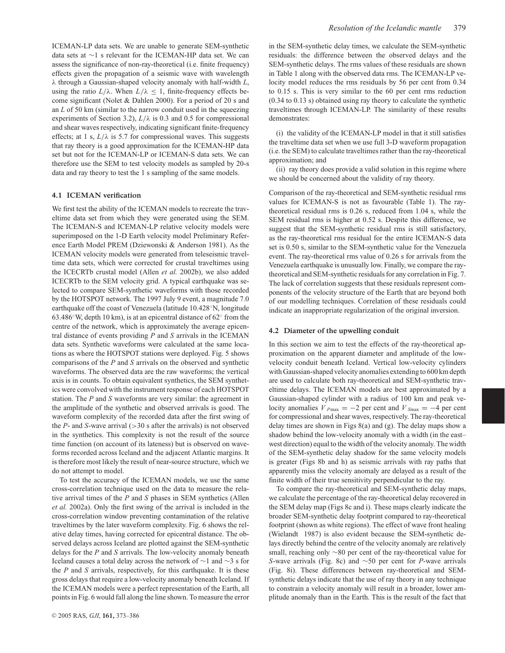ICEMAN-LP data sets. We are unable to generate SEM-synthetic data sets at ∼1 s relevant for the ICEMAN-HP data set. We can assess the significance of non-ray-theoretical (i.e. finite frequency) effects given the propagation of a seismic wave with wavelength λ through a Gaussian-shaped velocity anomaly with half-width *L*, using the ratio  $L/\lambda$ . When  $L/\lambda \leq 1$ , finite-frequency effects become significant (Nolet & Dahlen 2000). For a period of 20 s and an *L* of 50 km (similar to the narrow conduit used in the squeezing experiments of Section 3.2),  $L/\lambda$  is 0.3 and 0.5 for compressional and shear waves respectively, indicating significant finite-frequency effects; at 1 s,  $L/\lambda$  is 5.7 for compressional waves. This suggests that ray theory is a good approximation for the ICEMAN-HP data set but not for the ICEMAN-LP or ICEMAN-S data sets. We can therefore use the SEM to test velocity models as sampled by 20-s data and ray theory to test the 1 s sampling of the same models.

#### **4.1 ICEMAN verification**

We first test the ability of the ICEMAN models to recreate the traveltime data set from which they were generated using the SEM. The ICEMAN-S and ICEMAN-LP relative velocity models were superimposed on the 1-D Earth velocity model Preliminary Reference Earth Model PREM (Dziewonski & Anderson 1981). As the ICEMAN velocity models were generated from teleseismic traveltime data sets, which were corrected for crustal traveltimes using the ICECRTb crustal model (Allen *et al.* 2002b), we also added ICECRTb to the SEM velocity grid. A typical earthquake was selected to compare SEM-synthetic waveforms with those recorded by the HOTSPOT network. The 1997 July 9 event, a magnitude 7.0 earthquake off the coast of Venezuela (latitude 10.428◦N, longitude 63.486◦W, depth 10 km), is at an epicentral distance of 62◦ from the centre of the network, which is approximately the average epicentral distance of events providing *P* and *S* arrivals in the ICEMAN data sets. Synthetic waveforms were calculated at the same locations as where the HOTSPOT stations were deployed. Fig. 5 shows comparisons of the *P* and *S* arrivals on the observed and synthetic waveforms. The observed data are the raw waveforms; the vertical axis is in counts. To obtain equivalent synthetics, the SEM synthetics were convolved with the instrument response of each HOTSPOT station. The *P* and *S* waveforms are very similar: the agreement in the amplitude of the synthetic and observed arrivals is good. The waveform complexity of the recorded data after the first swing of the  $P$ - and  $S$ -wave arrival ( $>$ 30 s after the arrivals) is not observed in the synthetics. This complexity is not the result of the source time function (on account of its lateness) but is observed on waveforms recorded across Iceland and the adjacent Atlantic margins. It is therefore most likely the result of near-source structure, which we do not attempt to model.

To test the accuracy of the ICEMAN models, we use the same cross-correlation technique used on the data to measure the relative arrival times of the *P* and *S* phases in SEM synthetics (Allen *et al.* 2002a). Only the first swing of the arrival is included in the cross-correlation window preventing contamination of the relative traveltimes by the later waveform complexity. Fig. 6 shows the relative delay times, having corrected for epicentral distance. The observed delays across Iceland are plotted against the SEM-synthetic delays for the *P* and *S* arrivals. The low-velocity anomaly beneath Iceland causes a total delay across the network of ∼1 and ∼3 s for the *P* and *S* arrivals, respectively, for this earthquake. It is these gross delays that require a low-velocity anomaly beneath Iceland. If the ICEMAN models were a perfect representation of the Earth, all points in Fig. 6 would fall along the line shown. To measure the error

in the SEM-synthetic delay times, we calculate the SEM-synthetic residuals: the difference between the observed delays and the SEM-synthetic delays. The rms values of these residuals are shown in Table 1 along with the observed data rms. The ICEMAN-LP velocity model reduces the rms residuals by 56 per cent from 0.34 to 0.15 s. This is very similar to the 60 per cent rms reduction (0.34 to 0.13 s) obtained using ray theory to calculate the synthetic traveltimes through ICEMAN-LP. The similarity of these results demonstrates:

(i) the validity of the ICEMAN-LP model in that it still satisfies the traveltime data set when we use full 3-D waveform propagation (i.e. the SEM) to calculate traveltimes rather than the ray-theoretical approximation; and

(ii) ray theory does provide a valid solution in this regime where we should be concerned about the validity of ray theory.

Comparison of the ray-theoretical and SEM-synthetic residual rms values for ICEMAN-S is not as favourable (Table 1). The raytheoretical residual rms is 0.26 s, reduced from 1.04 s, while the SEM residual rms is higher at 0.52 s. Despite this difference, we suggest that the SEM-synthetic residual rms is still satisfactory, as the ray-theoretical rms residual for the entire ICEMAN-S data set is 0.50 s, similar to the SEM-synthetic value for the Venezuela event. The ray-theoretical rms value of 0.26 s for arrivals from the Venezuela earthquake is unusually low. Finally, we compare the raytheoretical and SEM-synthetic residuals for any correlation in Fig. 7. The lack of correlation suggests that these residuals represent components of the velocity structure of the Earth that are beyond both of our modelling techniques. Correlation of these residuals could indicate an inappropriate regularization of the original inversion.

#### **4.2 Diameter of the upwelling conduit**

In this section we aim to test the effects of the ray-theoretical approximation on the apparent diameter and amplitude of the lowvelocity conduit beneath Iceland. Vertical low-velocity cylinders with Gaussian-shaped velocity anomalies extending to 600 km depth are used to calculate both ray-theoretical and SEM-synthetic traveltime delays. The ICEMAN models are best approximated by a Gaussian-shaped cylinder with a radius of 100 km and peak velocity anomalies  $V_{Pmax} = -2$  per cent and  $V_{Smax} = -4$  per cent for compressional and shear waves, respectively. The ray-theoretical delay times are shown in Figs 8(a) and (g). The delay maps show a shadow behind the low-velocity anomaly with a width (in the east– west direction) equal to the width of the velocity anomaly. The width of the SEM-synthetic delay shadow for the same velocity models is greater (Figs 8b and h) as seismic arrivals with ray paths that apparently miss the velocity anomaly are delayed as a result of the finite width of their true sensitivity perpendicular to the ray.

To compare the ray-theoretical and SEM-synthetic delay maps, we calculate the percentage of the ray-theoretical delay recovered in the SEM delay map (Figs 8c and i). These maps clearly indicate the broader SEM-synthetic delay footprint compared to ray-theoretical footprint (shown as white regions). The effect of wave front healing (Wielandt 1987) is also evident because the SEM-synthetic delays directly behind the centre of the velocity anomaly are relatively small, reaching only ∼80 per cent of the ray-theoretical value for *S*-wave arrivals (Fig. 8c) and ∼50 per cent for *P*-wave arrivals (Fig. 8i). These differences between ray-theoretical and SEMsynthetic delays indicate that the use of ray theory in any technique to constrain a velocity anomaly will result in a broader, lower amplitude anomaly than in the Earth. This is the result of the fact that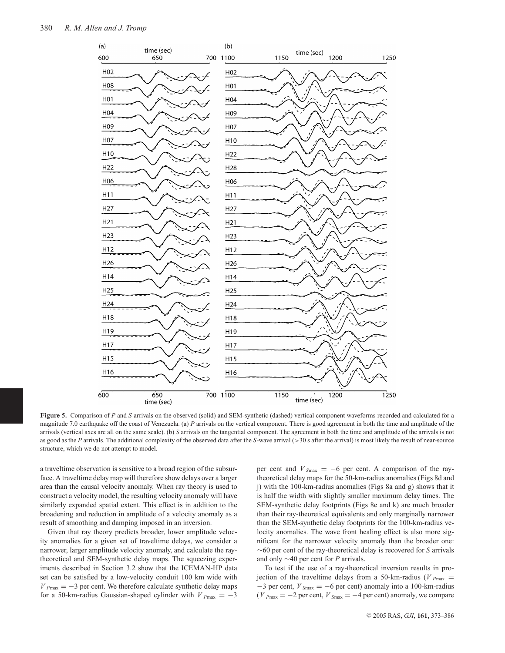

Figure 5. Comparison of *P* and *S* arrivals on the observed (solid) and SEM-synthetic (dashed) vertical component waveforms recorded and calculated for a magnitude 7.0 earthquake off the coast of Venezuela. (a) P arrivals on the vertical component. There is good agreement in both the time and amplitude of the arrivals (vertical axes are all on the same scale). (b) *S* arrivals on the tangential component. The agreement in both the time and amplitude of the arrivals is not as good as the *P* arrivals. The additional complexity of the observed data after the *S*-wave arrival (>30 s after the arrival) is most likely the result of near-source structure, which we do not attempt to model.

a traveltime observation is sensitive to a broad region of the subsurface. A traveltime delay map will therefore show delays over a larger area than the causal velocity anomaly. When ray theory is used to construct a velocity model, the resulting velocity anomaly will have similarly expanded spatial extent. This effect is in addition to the broadening and reduction in amplitude of a velocity anomaly as a result of smoothing and damping imposed in an inversion.

Given that ray theory predicts broader, lower amplitude velocity anomalies for a given set of traveltime delays, we consider a narrower, larger amplitude velocity anomaly, and calculate the raytheoretical and SEM-synthetic delay maps. The squeezing experiments described in Section 3.2 show that the ICEMAN-HP data set can be satisfied by a low-velocity conduit 100 km wide with  $V_{P\text{max}} = -3$  per cent. We therefore calculate synthetic delay maps for a 50-km-radius Gaussian-shaped cylinder with  $V_{P\text{max}} = -3$ 

per cent and  $V_{\text{Smax}} = -6$  per cent. A comparison of the raytheoretical delay maps for the 50-km-radius anomalies (Figs 8d and j) with the 100-km-radius anomalies (Figs 8a and g) shows that it is half the width with slightly smaller maximum delay times. The SEM-synthetic delay footprints (Figs 8e and k) are much broader than their ray-theoretical equivalents and only marginally narrower than the SEM-synthetic delay footprints for the 100-km-radius velocity anomalies. The wave front healing effect is also more significant for the narrower velocity anomaly than the broader one: ∼60 per cent of the ray-theoretical delay is recovered for *S* arrivals and only ∼40 per cent for *P* arrivals.

To test if the use of a ray-theoretical inversion results in projection of the traveltime delays from a 50-km-radius ( $V_{P\text{max}}$  =  $-3$  per cent,  $V_{Smax} = -6$  per cent) anomaly into a 100-km-radius  $(V_{Pmax} = -2$  per cent,  $V_{Smax} = -4$  per cent) anomaly, we compare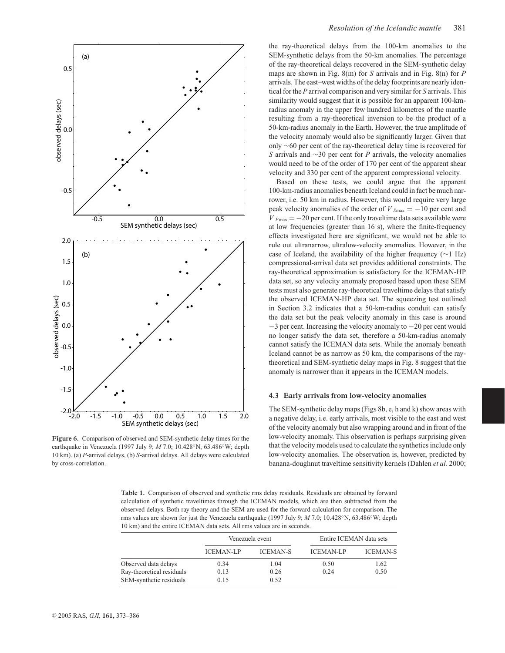

**Figure 6.** Comparison of observed and SEM-synthetic delay times for the earthquake in Venezuela (1997 July 9; *M* 7.0; 10.428◦N, 63.486◦W; depth 10 km). (a) *P*-arrival delays, (b) *S*-arrival delays. All delays were calculated by cross-correlation.

the ray-theoretical delays from the 100-km anomalies to the SEM-synthetic delays from the 50-km anomalies. The percentage of the ray-theoretical delays recovered in the SEM-synthetic delay maps are shown in Fig. 8(m) for *S* arrivals and in Fig. 8(n) for *P* arrivals. The east–west widths of the delay footprints are nearly identical for the *P* arrival comparison and very similar for *S* arrivals. This similarity would suggest that it is possible for an apparent 100-kmradius anomaly in the upper few hundred kilometres of the mantle resulting from a ray-theoretical inversion to be the product of a 50-km-radius anomaly in the Earth. However, the true amplitude of the velocity anomaly would also be significantly larger. Given that only ∼60 per cent of the ray-theoretical delay time is recovered for *S* arrivals and ∼30 per cent for *P* arrivals, the velocity anomalies would need to be of the order of 170 per cent of the apparent shear velocity and 330 per cent of the apparent compressional velocity.

Based on these tests, we could argue that the apparent 100-km-radius anomalies beneath Iceland could in fact be much narrower, i.e. 50 km in radius. However, this would require very large peak velocity anomalies of the order of  $V_{\text{Smax}} = -10$  per cent and  $V_{P\text{max}} = -20$  per cent. If the only traveltime data sets available were at low frequencies (greater than 16 s), where the finite-frequency effects investigated here are significant, we would not be able to rule out ultranarrow, ultralow-velocity anomalies. However, in the case of Iceland, the availability of the higher frequency (∼1 Hz) compressional-arrival data set provides additional constraints. The ray-theoretical approximation is satisfactory for the ICEMAN-HP data set, so any velocity anomaly proposed based upon these SEM tests must also generate ray-theoretical traveltime delays that satisfy the observed ICEMAN-HP data set. The squeezing test outlined in Section 3.2 indicates that a 50-km-radius conduit can satisfy the data set but the peak velocity anomaly in this case is around −3 per cent. Increasing the velocity anomaly to −20 per cent would no longer satisfy the data set, therefore a 50-km-radius anomaly cannot satisfy the ICEMAN data sets. While the anomaly beneath Iceland cannot be as narrow as 50 km, the comparisons of the raytheoretical and SEM-synthetic delay maps in Fig. 8 suggest that the anomaly is narrower than it appears in the ICEMAN models.

#### **4.3 Early arrivals from low-velocity anomalies**

The SEM-synthetic delay maps (Figs 8b, e, h and k) show areas with a negative delay, i.e. early arrivals, most visible to the east and west of the velocity anomaly but also wrapping around and in front of the low-velocity anomaly. This observation is perhaps surprising given that the velocity models used to calculate the synthetics include only low-velocity anomalies. The observation is, however, predicted by banana-doughnut traveltime sensitivity kernels (Dahlen *et al.* 2000;

**Table 1.** Comparison of observed and synthetic rms delay residuals. Residuals are obtained by forward calculation of synthetic traveltimes through the ICEMAN models, which are then subtracted from the observed delays. Both ray theory and the SEM are used for the forward calculation for comparison. The rms values are shown for just the Venezuela earthquake (1997 July 9; *M* 7.0; 10.428◦N, 63.486◦W; depth 10 km) and the entire ICEMAN data sets. All rms values are in seconds.

|                           | Venezuela event  |                 | Entire ICEMAN data sets |                 |
|---------------------------|------------------|-----------------|-------------------------|-----------------|
|                           | <b>ICEMAN-LP</b> | <b>ICEMAN-S</b> | <b>ICEMAN-LP</b>        | <b>ICEMAN-S</b> |
| Observed data delays      | 0.34             | 1.04            | 0.50                    | 1.62            |
| Ray-theoretical residuals | 0.13             | 0.26            | 0.24                    | 0.50            |
| SEM-synthetic residuals   | 0.15             | 0.52            |                         |                 |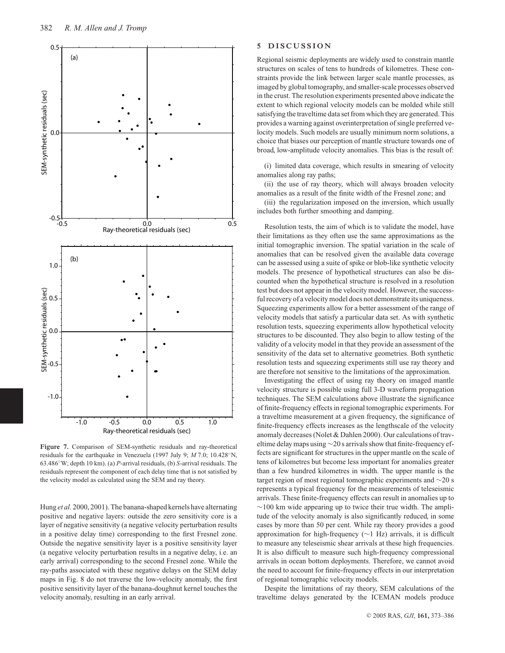

**Figure 7.** Comparison of SEM-synthetic residuals and ray-theoretical residuals for the earthquake in Venezuela (1997 July 9; *M* 7.0; 10.428◦N, 63.486◦W; depth 10 km). (a) *P*-arrival residuals, (b) *S*-arrival residuals. The residuals represent the component of each delay time that is not satisfied by the velocity model as calculated using the SEM and ray theory.

Hung *et al.* 2000, 2001). The banana-shaped kernels have alternating positive and negative layers: outside the zero sensitivity core is a layer of negative sensitivity (a negative velocity perturbation results in a positive delay time) corresponding to the first Fresnel zone. Outside the negative sensitivity layer is a positive sensitivity layer (a negative velocity perturbation results in a negative delay, i.e. an early arrival) corresponding to the second Fresnel zone. While the ray-paths associated with these negative delays on the SEM delay maps in Fig. 8 do not traverse the low-velocity anomaly, the first positive sensitivity layer of the banana-doughnut kernel touches the velocity anomaly, resulting in an early arrival.

# **5 DIS CUSSION**

Regional seismic deployments are widely used to constrain mantle structures on scales of tens to hundreds of kilometres. These constraints provide the link between larger scale mantle processes, as imaged by global tomography, and smaller-scale processes observed in the crust. The resolution experiments presented above indicate the extent to which regional velocity models can be molded while still satisfying the traveltime data set from which they are generated. This provides a warning against overinterpretation of single preferred velocity models. Such models are usually minimum norm solutions, a choice that biases our perception of mantle structure towards one of broad, low-amplitude velocity anomalies. This bias is the result of:

(i) limited data coverage, which results in smearing of velocity anomalies along ray paths;

(ii) the use of ray theory, which will always broaden velocity anomalies as a result of the finite width of the Fresnel zone; and

(iii) the regularization imposed on the inversion, which usually includes both further smoothing and damping.

Resolution tests, the aim of which is to validate the model, have their limitations as they often use the same approximations as the initial tomographic inversion. The spatial variation in the scale of anomalies that can be resolved given the available data coverage can be assessed using a suite of spike or blob-like synthetic velocity models. The presence of hypothetical structures can also be discounted when the hypothetical structure is resolved in a resolution test but does not appear in the velocity model. However, the successful recovery of a velocity model does not demonstrate its uniqueness. Squeezing experiments allow for a better assessment of the range of velocity models that satisfy a particular data set. As with synthetic resolution tests, squeezing experiments allow hypothetical velocity structures to be discounted. They also begin to allow testing of the validity of a velocity model in that they provide an assessment of the sensitivity of the data set to alternative geometries. Both synthetic resolution tests and squeezing experiments still use ray theory and are therefore not sensitive to the limitations of the approximation.

Investigating the effect of using ray theory on imaged mantle velocity structure is possible using full 3-D waveform propagation techniques. The SEM calculations above illustrate the significance of finite-frequency effects in regional tomographic experiments. For a traveltime measurement at a given frequency, the significance of finite-frequency effects increases as the lengthscale of the velocity anomaly decreases (Nolet & Dahlen 2000). Our calculations of traveltime delay maps using∼20 s arrivals show that finite-frequency effects are significant for structures in the upper mantle on the scale of tens of kilometres but become less important for anomalies greater than a few hundred kilometres in width. The upper mantle is the target region of most regional tomographic experiments and ∼20 s represents a typical frequency for the measurements of teleseismic arrivals. These finite-frequency effects can result in anomalies up to  $~\sim$ 100 km wide appearing up to twice their true width. The amplitude of the velocity anomaly is also significantly reduced, in some cases by more than 50 per cent. While ray theory provides a good approximation for high-frequency (∼1 Hz) arrivals, it is difficult to measure any teleseismic shear arrivals at these high frequencies. It is also difficult to measure such high-frequency compressional arrivals in ocean bottom deployments. Therefore, we cannot avoid the need to account for finite-frequency effects in our interpretation of regional tomographic velocity models.

Despite the limitations of ray theory, SEM calculations of the traveltime delays generated by the ICEMAN models produce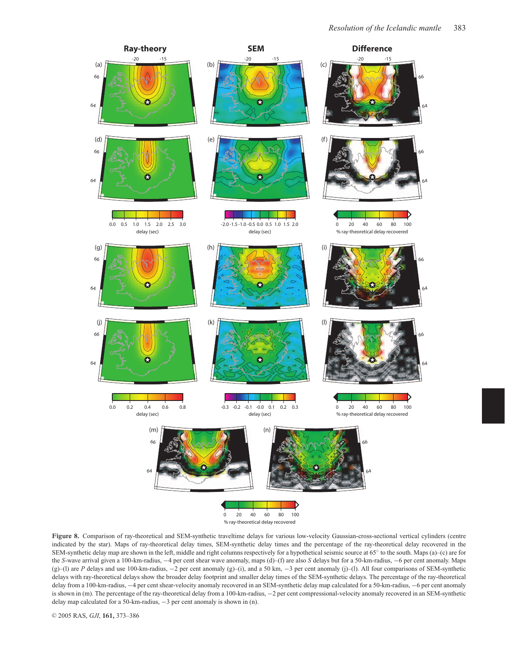

**Figure 8.** Comparison of ray-theoretical and SEM-synthetic traveltime delays for various low-velocity Gaussian-cross-sectional vertical cylinders (centre indicated by the star). Maps of ray-theoretical delay times, SEM-synthetic delay times and the percentage of the ray-theoretical delay recovered in the SEM-synthetic delay map are shown in the left, middle and right columns respectively for a hypothetical seismic source at  $65°$  to the south. Maps (a)–(c) are for the *S*-wave arrival given a 100-km-radius, −4 per cent shear wave anomaly, maps (d)–(f) are also *S* delays but for a 50-km-radius, −6 per cent anomaly. Maps (g)–(l) are *P* delays and use 100-km-radius, −2 per cent anomaly (g)–(i), and a 50 km, −3 per cent anomaly (j)–(l). All four comparisons of SEM-synthetic delays with ray-theoretical delays show the broader delay footprint and smaller delay times of the SEM-synthetic delays. The percentage of the ray-theoretical delay from a 100-km-radius, −4 per cent shear-velocity anomaly recovered in an SEM-synthetic delay map calculated for a 50-km-radius, −6 per cent anomaly is shown in (m). The percentage of the ray-theoretical delay from a 100-km-radius, −2 per cent compressional-velocity anomaly recovered in an SEM-synthetic delay map calculated for a 50-km-radius, −3 per cent anomaly is shown in (n).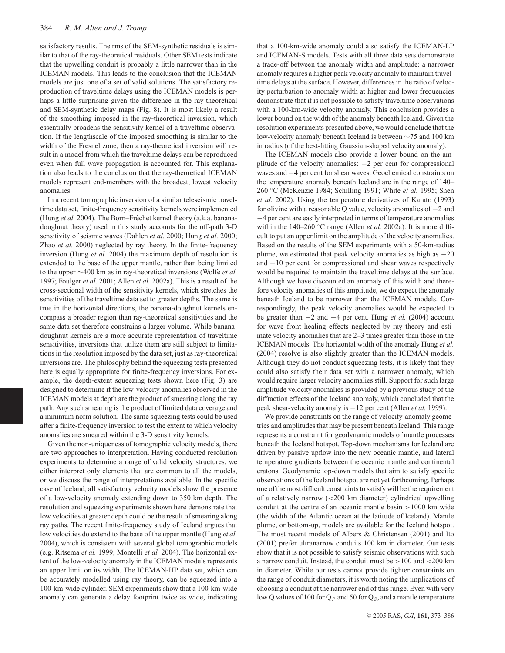satisfactory results. The rms of the SEM-synthetic residuals is similar to that of the ray-theoretical residuals. Other SEM tests indicate that the upwelling conduit is probably a little narrower than in the ICEMAN models. This leads to the conclusion that the ICEMAN models are just one of a set of valid solutions. The satisfactory reproduction of traveltime delays using the ICEMAN models is perhaps a little surprising given the difference in the ray-theoretical and SEM-synthetic delay maps (Fig. 8). It is most likely a result of the smoothing imposed in the ray-theoretical inversion, which essentially broadens the sensitivity kernel of a traveltime observation. If the lengthscale of the imposed smoothing is similar to the width of the Fresnel zone, then a ray-theoretical inversion will result in a model from which the traveltime delays can be reproduced even when full wave propagation is accounted for. This explanation also leads to the conclusion that the ray-theoretical ICEMAN models represent end-members with the broadest, lowest velocity anomalies.

In a recent tomographic inversion of a similar teleseismic traveltime data set, finite-frequency sensitivity kernels were implemented (Hung et al. 2004). The Born–Fréchet kernel theory (a.k.a. bananadoughnut theory) used in this study accounts for the off-path 3-D sensitivity of seismic waves (Dahlen *et al.* 2000; Hung *et al.* 2000; Zhao *et al.* 2000) neglected by ray theory. In the finite-frequency inversion (Hung *et al.* 2004) the maximum depth of resolution is extended to the base of the upper mantle, rather than being limited to the upper ∼400 km as in ray-theoretical inversions (Wolfe *et al.* 1997; Foulger *et al.* 2001; Allen *et al.* 2002a). This is a result of the cross-sectional width of the sensitivity kernels, which stretches the sensitivities of the traveltime data set to greater depths. The same is true in the horizontal directions, the banana-doughnut kernels encompass a broader region than ray-theoretical sensitivities and the same data set therefore constrains a larger volume. While bananadoughnut kernels are a more accurate representation of traveltime sensitivities, inversions that utilize them are still subject to limitations in the resolution imposed by the data set, just as ray-theoretical inversions are. The philosophy behind the squeezing tests presented here is equally appropriate for finite-frequency inversions. For example, the depth-extent squeezing tests shown here (Fig. 3) are designed to determine if the low-velocity anomalies observed in the ICEMAN models at depth are the product of smearing along the ray path. Any such smearing is the product of limited data coverage and a minimum norm solution. The same squeezing tests could be used after a finite-frequency inversion to test the extent to which velocity anomalies are smeared within the 3-D sensitivity kernels.

Given the non-uniqueness of tomographic velocity models, there are two approaches to interpretation. Having conducted resolution experiments to determine a range of valid velocity structures, we either interpret only elements that are common to all the models, or we discuss the range of interpretations available. In the specific case of Iceland, all satisfactory velocity models show the presence of a low-velocity anomaly extending down to 350 km depth. The resolution and squeezing experiments shown here demonstrate that low velocities at greater depth could be the result of smearing along ray paths. The recent finite-frequency study of Iceland argues that low velocities do extend to the base of the upper mantle (Hung *et al.* 2004), which is consistent with several global tomographic models (e.g. Ritsema *et al.* 1999; Montelli *et al.* 2004). The horizontal extent of the low-velocity anomaly in the ICEMAN models represents an upper limit on its width. The ICEMAN-HP data set, which can be accurately modelled using ray theory, can be squeezed into a 100-km-wide cylinder. SEM experiments show that a 100-km-wide anomaly can generate a delay footprint twice as wide, indicating

that a 100-km-wide anomaly could also satisfy the ICEMAN-LP and ICEMAN-S models. Tests with all three data sets demonstrate a trade-off between the anomaly width and amplitude: a narrower anomaly requires a higher peak velocity anomaly to maintain traveltime delays at the surface. However, differences in the ratio of velocity perturbation to anomaly width at higher and lower frequencies demonstrate that it is not possible to satisfy traveltime observations with a 100-km-wide velocity anomaly. This conclusion provides a lower bound on the width of the anomaly beneath Iceland. Given the resolution experiments presented above, we would conclude that the low-velocity anomaly beneath Iceland is between ∼75 and 100 km in radius (of the best-fitting Gaussian-shaped velocity anomaly).

The ICEMAN models also provide a lower bound on the amplitude of the velocity anomalies: −2 per cent for compressional waves and −4 per cent for shear waves. Geochemical constraints on the temperature anomaly beneath Iceland are in the range of 140– 260 ◦C (McKenzie 1984; Schilling 1991; White *et al.* 1995; Shen *et al.* 2002). Using the temperature derivatives of Karato (1993) for olivine with a reasonable Q value, velocity anomalies of −2 and −4 per cent are easily interpreted in terms of temperature anomalies within the 140–260 ℃ range (Allen *et al.* 2002a). It is more difficult to put an upper limit on the amplitude of the velocity anomalies. Based on the results of the SEM experiments with a 50-km-radius plume, we estimated that peak velocity anomalies as high as −20 and −10 per cent for compressional and shear waves respectively would be required to maintain the traveltime delays at the surface. Although we have discounted an anomaly of this width and therefore velocity anomalies of this amplitude, we do expect the anomaly beneath Iceland to be narrower than the ICEMAN models. Correspondingly, the peak velocity anomalies would be expected to be greater than −2 and −4 per cent. Hung *et al.* (2004) account for wave front healing effects neglected by ray theory and estimate velocity anomalies that are 2–3 times greater than those in the ICEMAN models. The horizontal width of the anomaly Hung *et al.* (2004) resolve is also slightly greater than the ICEMAN models. Although they do not conduct squeezing tests, it is likely that they could also satisfy their data set with a narrower anomaly, which would require larger velocity anomalies still. Support for such large amplitude velocity anomalies is provided by a previous study of the diffraction effects of the Iceland anomaly, which concluded that the peak shear-velocity anomaly is −12 per cent (Allen *et al.* 1999).

We provide constraints on the range of velocity-anomaly geometries and amplitudes that may be present beneath Iceland. This range represents a constraint for geodynamic models of mantle processes beneath the Iceland hotspot. Top-down mechanisms for Iceland are driven by passive upflow into the new oceanic mantle, and lateral temperature gradients between the oceanic mantle and continental cratons. Geodynamic top-down models that aim to satisfy specific observations of the Iceland hotspot are not yet forthcoming. Perhaps one of the most difficult constraints to satisfy will be the requirement of a relatively narrow (<200 km diameter) cylindrical upwelling conduit at the centre of an oceanic mantle basin >1000 km wide (the width of the Atlantic ocean at the latitude of Iceland). Mantle plume, or bottom-up, models are available for the Iceland hotspot. The most recent models of Albers & Christensen (2001) and Ito (2001) prefer ultranarrow conduits 100 km in diameter. Our tests show that it is not possible to satisfy seismic observations with such a narrow conduit. Instead, the conduit must be >100 and <200 km in diameter. While our tests cannot provide tighter constraints on the range of conduit diameters, it is worth noting the implications of choosing a conduit at the narrower end of this range. Even with very low Q values of 100 for  $Q_P$  and 50 for  $Q_S$ , and a mantle temperature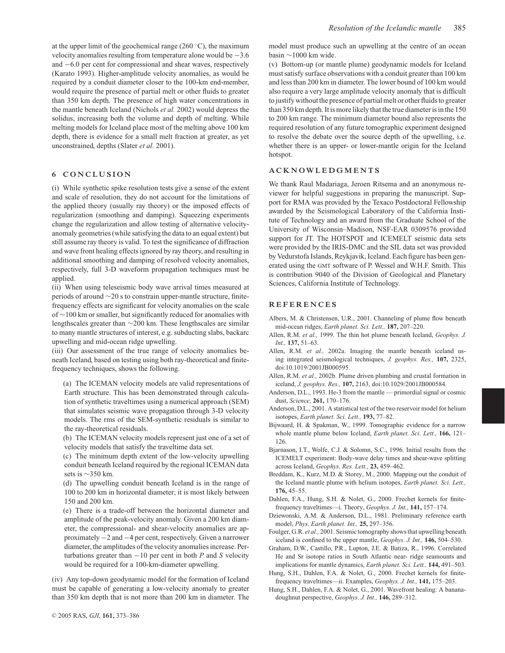at the upper limit of the geochemical range (260  $°C$ ), the maximum velocity anomalies resulting from temperature alone would be −3.6 and −6.0 per cent for compressional and shear waves, respectively (Karato 1993). Higher-amplitude velocity anomalies, as would be required by a conduit diameter closer to the 100-km end-member, would require the presence of partial melt or other fluids to greater than 350 km depth. The presence of high water concentrations in the mantle beneath Iceland (Nichols *et al.* 2002) would depress the solidus, increasing both the volume and depth of melting. While melting models for Iceland place most of the melting above 100 km depth, there is evidence for a small melt fraction at greater, as yet unconstrained, depths (Slater *et al.* 2001).

## $6$  **CONCLUSION**

(i) While synthetic spike resolution tests give a sense of the extent and scale of resolution, they do not account for the limitations of the applied theory (usually ray theory) or the imposed effects of regularization (smoothing and damping). Squeezing experiments change the regularization and allow testing of alternative velocityanomaly geometries (while satisfying the data to an equal extent) but still assume ray theory is valid. To test the significance of diffraction and wave front healing effects ignored by ray theory, and resulting in additional smoothing and damping of resolved velocity anomalies, respectively, full 3-D waveform propagation techniques must be applied.

(ii) When using teleseismic body wave arrival times measured at periods of around ∼20 s to constrain upper-mantle structure, finitefrequency effects are significant for velocity anomalies on the scale of ∼100 km or smaller, but significantly reduced for anomalies with lengthscales greater than ∼200 km. These lengthscales are similar to many mantle structures of interest, e.g. subducting slabs, backarc upwelling and mid-ocean ridge upwelling.

(iii) Our assessment of the true range of velocity anomalies beneath Iceland, based on testing using both ray-theoretical and finitefrequency techniques, shows the following.

(a) The ICEMAN velocity models are valid representations of Earth structure. This has been demonstrated through calculation of synthetic traveltimes using a numerical approach (SEM) that simulates seismic wave propagation through 3-D velocity models. The rms of the SEM-synthetic residuals is similar to the ray-theoretical residuals.

(b) The ICEMAN velocity models represent just one of a set of velocity models that satisfy the traveltime data set.

(c) The minimum depth extent of the low-velocity upwelling conduit beneath Iceland required by the regional ICEMAN data sets is ∼350 km.

(d) The upwelling conduit beneath Iceland is in the range of 100 to 200 km in horizontal diameter; it is most likely between 150 and 200 km.

(e) There is a trade-off between the horizontal diameter and amplitude of the peak-velocity anomaly. Given a 200 km diameter, the compressional- and shear-velocity anomalies are approximately −2 and −4 per cent, respectively. Given a narrower diameter, the amplitudes of the velocity anomalies increase. Perturbations greater than  $-10$  per cent in both *P* and *S* velocity would be required for a 100-km-diameter upwelling.

(iv) Any top-down geodynamic model for the formation of Iceland must be capable of generating a low-velocity anomaly to greater than 350 km depth that is not more than 200 km in diameter. The model must produce such an upwelling at the centre of an ocean basin ∼1000 km wide.

(v) Bottom-up (or mantle plume) geodynamic models for Iceland must satisfy surface observations with a conduit greater than 100 km and less than 200 km in diameter. The lower bound of 100 km would also require a very large amplitude velocity anomaly that is difficult to justify without the presence of partial melt or other fluids to greater than 350 km depth. It is more likely that the true diameter is in the 150 to 200 km range. The minimum diameter bound also represents the required resolution of any future tomographic experiment designed to resolve the debate over the source depth of the upwelling, i.e. whether there is an upper- or lower-mantle origin for the Iceland hotspot.

# **ACKNOW LEDGMENTS**

We thank Raul Madariaga, Jeroen Ritsema and an anonymous reviewer for helpful suggestions in preparing the manuscript. Support for RMA was provided by the Texaco Postdoctoral Fellowship awarded by the Seismological Laboratory of the California Institute of Technology and an award from the Graduate School of the University of Wisconsin–Madison, NSF-EAR 0309576 provided support for JT. The HOTSPOT and ICEMELT seismic data sets were provided by the IRIS-DMC and the SIL data set was provided by Vedurstofa Islands, Reykjavik, Iceland. Each figure has been generated using the GMT software of P. Wessel and W.H.F. Smith. This is contribution 9040 of the Division of Geological and Planetary Sciences, California Institute of Technology.

#### **REFERENCES**

- Albers, M. & Christensen, U.R., 2001. Channeling of plume flow beneath mid-ocean ridges, *Earth planet. Sci. Lett.,* **187,** 207–220.
- Allen, R.M. *et al.,* 1999. The thin hot plume beneath Iceland, *Geophys. J. Int.,* **137,** 51–63.
- Allen, R.M. *et al.,* 2002a. Imaging the mantle beneath iceland using integrated seismological techniques, *J. geophys. Res.,* **107,** 2325, doi:10.1019/2001JB000595.
- Allen, R.M. *et al.,* 2002b. Plume driven plumbing and crustal formation in iceland, *J. geophys. Res.,* **107,** 2163, doi:10.1029/2001JB000584.
- Anderson, D.L., 1993. He-3 from the mantle primordial signal or cosmic dust, *Science,* **261,** 170–176.
- Anderson, D.L., 2001. A statistical test of the two reservoir model for helium isotopes, *Earth planet. Sci. Lett.,* **193,** 77–82.
- Bijwaard, H. & Spakman, W., 1999. Tomographic evidence for a narrow whole mantle plume below Iceland, *Earth planet. Sci. Lett.,* **166,** 121– 126.
- Bjarnason, I.T., Wolfe, C.J. & Solomn, S.C., 1996. Initial results from the ICEMELT experiment: Body-wave delay times and shear-wave splitting across Iceland, *Geophys. Res. Lett.,* **23,** 459–462.
- Breddam, K., Kurz, M.D. & Storey, M., 2000. Mapping out the conduit of the Iceland mantle plume with helium isotopes, *Earth planet. Sci. Lett.,* **176,** 45–55.
- Dahlen, F.A., Hung, S.H. & Nolet, G., 2000. Frechet kernels for finitefrequency traveltimes—i. Theory, *Geophys. J. Int.,* **141,** 157–174.
- Dziewonski, A.M. & Anderson, D.L., 1981. Preliminary reference earth model, *Phys. Earth planet. Int.,* **25,** 297–356.
- Foulger, G.R. *et al.,* 2001. Seismic tomography shows that upwelling beneath iceland is confined to the upper mantle, *Geophys. J. Int.,* **146,** 504–530.
- Graham, D.W., Castillo, P.R., Lupton, J.E. & Batiza, R., 1996. Correlated He and Sr isotope ratios in South Atlantic near- ridge seamounts and implications for mantle dynamics, *Earth planet. Sci. Lett.,* **144,** 491–503.
- Hung, S.H., Dahlen, F.A. & Nolet, G., 2000. Frechet kernels for finitefrequency traveltimes—ii. Examples, *Geophys. J. Int.,* **141,** 175–203.
- Hung, S.H., Dahlen, F.A. & Nolet, G., 2001. Wavefront healing: A bananadoughnut perspective, *Geophys. J. Int.,* **146,** 289–312.